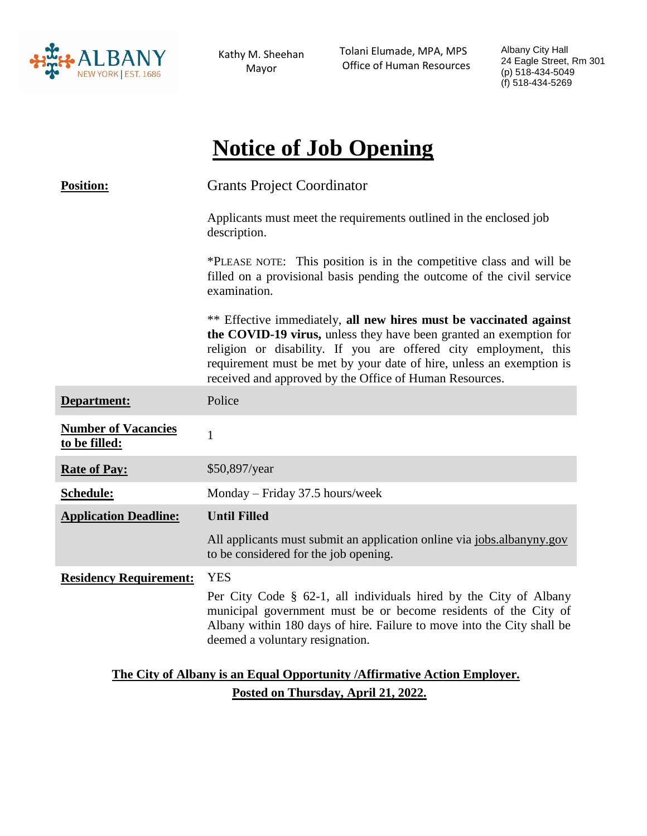

Kathy M. Sheehan Mayor

Tolani Elumade, MPA, MPS Office of Human Resources Albany City Hall 24 Eagle Street, Rm 301 (p) 518-434-5049 (f) 518-434-5269

# **Notice of Job Opening**

| <b>Position:</b>                                                          | <b>Grants Project Coordinator</b>                                                                                                                                                                                                                                                                                                               |
|---------------------------------------------------------------------------|-------------------------------------------------------------------------------------------------------------------------------------------------------------------------------------------------------------------------------------------------------------------------------------------------------------------------------------------------|
|                                                                           | Applicants must meet the requirements outlined in the enclosed job<br>description.                                                                                                                                                                                                                                                              |
|                                                                           | *PLEASE NOTE: This position is in the competitive class and will be<br>filled on a provisional basis pending the outcome of the civil service<br>examination.                                                                                                                                                                                   |
|                                                                           | ** Effective immediately, all new hires must be vaccinated against<br>the COVID-19 virus, unless they have been granted an exemption for<br>religion or disability. If you are offered city employment, this<br>requirement must be met by your date of hire, unless an exemption is<br>received and approved by the Office of Human Resources. |
| Department:                                                               | Police                                                                                                                                                                                                                                                                                                                                          |
| <b>Number of Vacancies</b><br>to be filled:                               | $\mathbf{1}$                                                                                                                                                                                                                                                                                                                                    |
| <b>Rate of Pay:</b>                                                       | \$50,897/year                                                                                                                                                                                                                                                                                                                                   |
| Schedule:                                                                 | Monday – Friday 37.5 hours/week                                                                                                                                                                                                                                                                                                                 |
| <b>Application Deadline:</b>                                              | <b>Until Filled</b>                                                                                                                                                                                                                                                                                                                             |
|                                                                           | All applicants must submit an application online via jobs.albanyny.gov<br>to be considered for the job opening.                                                                                                                                                                                                                                 |
| <b>Residency Requirement:</b>                                             | <b>YES</b>                                                                                                                                                                                                                                                                                                                                      |
|                                                                           | Per City Code § 62-1, all individuals hired by the City of Albany<br>municipal government must be or become residents of the City of<br>Albany within 180 days of hire. Failure to move into the City shall be<br>deemed a voluntary resignation.                                                                                               |
| The City of Albany is an Equal Opportunity / Affirmative Action Employer. |                                                                                                                                                                                                                                                                                                                                                 |

**Posted on Thursday, April 21, 2022.**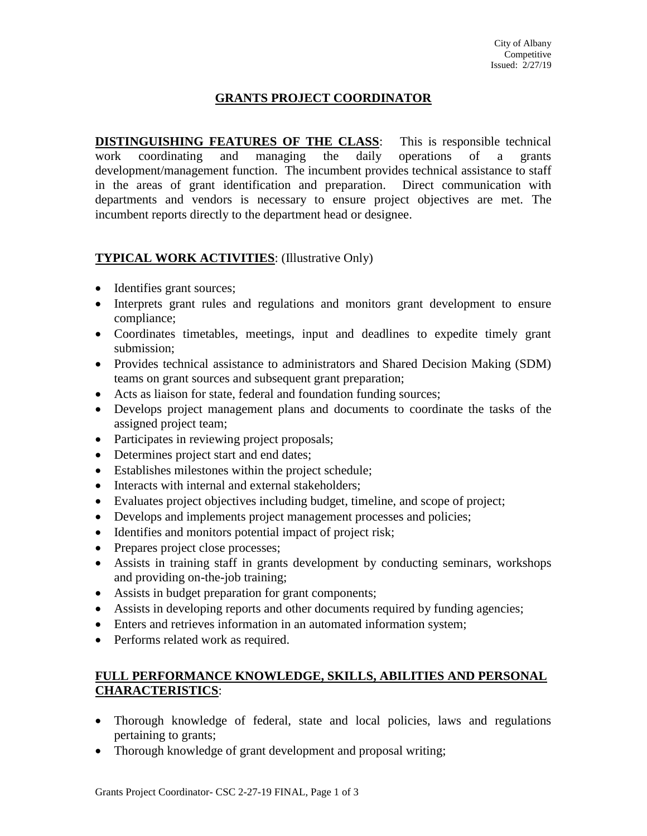# **GRANTS PROJECT COORDINATOR**

**DISTINGUISHING FEATURES OF THE CLASS:** This is responsible technical work coordinating and managing the daily operations of a grants development/management function. The incumbent provides technical assistance to staff in the areas of grant identification and preparation. Direct communication with departments and vendors is necessary to ensure project objectives are met. The incumbent reports directly to the department head or designee.

# **TYPICAL WORK ACTIVITIES**: (Illustrative Only)

- Identifies grant sources;
- Interprets grant rules and regulations and monitors grant development to ensure compliance;
- Coordinates timetables, meetings, input and deadlines to expedite timely grant submission;
- Provides technical assistance to administrators and Shared Decision Making (SDM) teams on grant sources and subsequent grant preparation;
- Acts as liaison for state, federal and foundation funding sources;
- Develops project management plans and documents to coordinate the tasks of the assigned project team;
- Participates in reviewing project proposals;
- Determines project start and end dates;
- Establishes milestones within the project schedule;
- Interacts with internal and external stakeholders;
- Evaluates project objectives including budget, timeline, and scope of project;
- Develops and implements project management processes and policies;
- Identifies and monitors potential impact of project risk;
- Prepares project close processes;
- Assists in training staff in grants development by conducting seminars, workshops and providing on-the-job training;
- Assists in budget preparation for grant components;
- Assists in developing reports and other documents required by funding agencies;
- Enters and retrieves information in an automated information system;
- Performs related work as required.

## **FULL PERFORMANCE KNOWLEDGE, SKILLS, ABILITIES AND PERSONAL CHARACTERISTICS**:

- Thorough knowledge of federal, state and local policies, laws and regulations pertaining to grants;
- Thorough knowledge of grant development and proposal writing;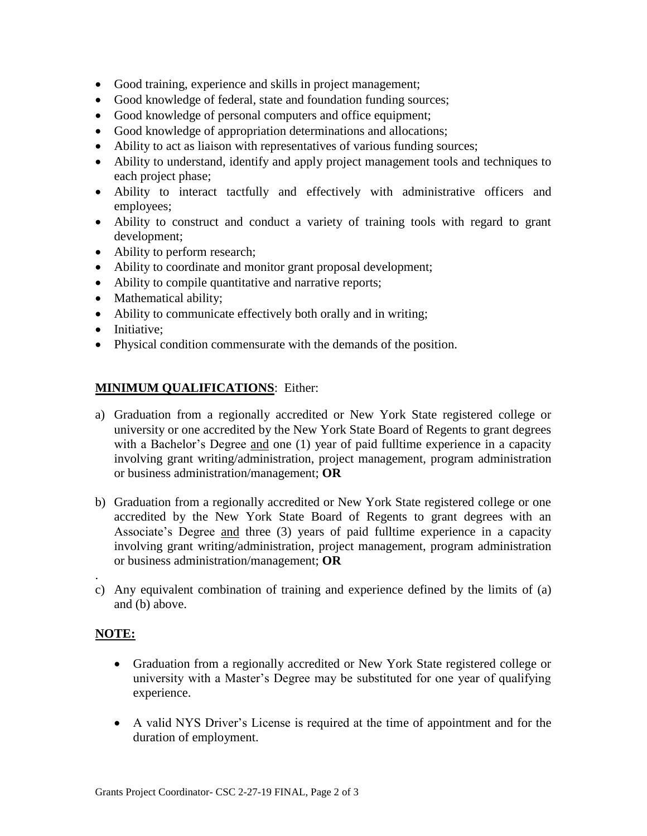- Good training, experience and skills in project management;
- Good knowledge of federal, state and foundation funding sources;
- Good knowledge of personal computers and office equipment;
- Good knowledge of appropriation determinations and allocations;
- Ability to act as liaison with representatives of various funding sources;
- Ability to understand, identify and apply project management tools and techniques to each project phase;
- Ability to interact tactfully and effectively with administrative officers and employees;
- Ability to construct and conduct a variety of training tools with regard to grant development;
- Ability to perform research;
- Ability to coordinate and monitor grant proposal development;
- Ability to compile quantitative and narrative reports;
- Mathematical ability;
- Ability to communicate effectively both orally and in writing;
- Initiative;
- Physical condition commensurate with the demands of the position.

### **MINIMUM QUALIFICATIONS**: Either:

- a) Graduation from a regionally accredited or New York State registered college or university or one accredited by the New York State Board of Regents to grant degrees with a Bachelor's Degree and one (1) year of paid fulltime experience in a capacity involving grant writing/administration, project management, program administration or business administration/management; **OR**
- b) Graduation from a regionally accredited or New York State registered college or one accredited by the New York State Board of Regents to grant degrees with an Associate's Degree and three (3) years of paid fulltime experience in a capacity involving grant writing/administration, project management, program administration or business administration/management; **OR**
- c) Any equivalent combination of training and experience defined by the limits of (a) and (b) above.

### **NOTE:**

.

- Graduation from a regionally accredited or New York State registered college or university with a Master's Degree may be substituted for one year of qualifying experience.
- A valid NYS Driver's License is required at the time of appointment and for the duration of employment.